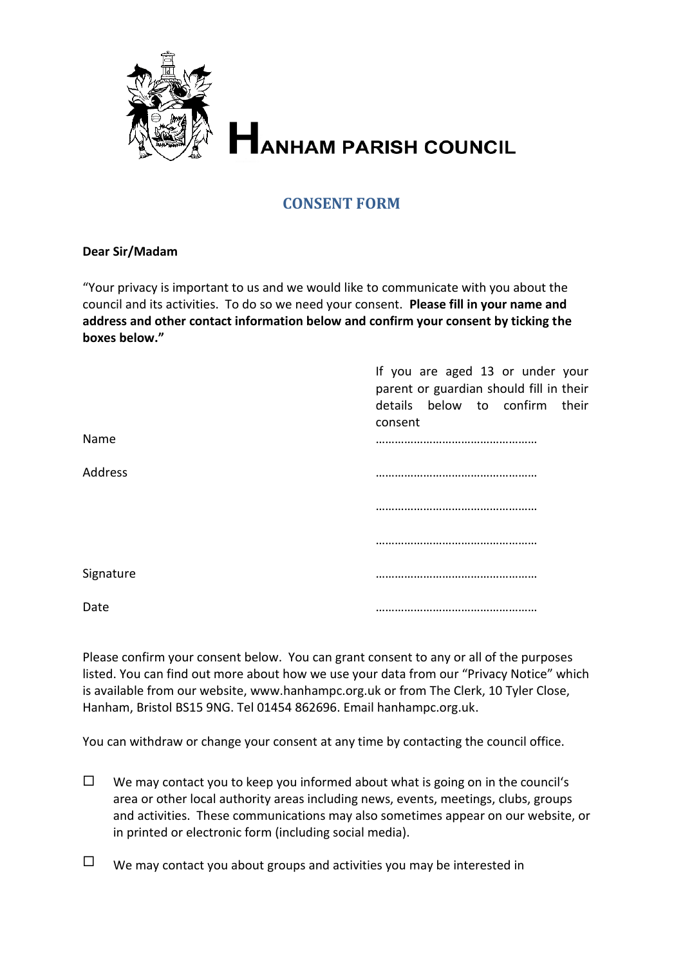

## **CONSENT FORM**

## **Dear Sir/Madam**

"Your privacy is important to us and we would like to communicate with you about the council and its activities. To do so we need your consent. **Please fill in your name and address and other contact information below and confirm your consent by ticking the boxes below."**

|           | If you are aged 13 or under your<br>parent or guardian should fill in their<br>details below to confirm their<br>consent |
|-----------|--------------------------------------------------------------------------------------------------------------------------|
| Name      |                                                                                                                          |
| Address   |                                                                                                                          |
|           |                                                                                                                          |
|           |                                                                                                                          |
| Signature |                                                                                                                          |
| Date      |                                                                                                                          |

Please confirm your consent below. You can grant consent to any or all of the purposes listed. You can find out more about how we use your data from our "Privacy Notice" which is available from our website, www.hanhampc.org.uk or from The Clerk, 10 Tyler Close, Hanham, Bristol BS15 9NG. Tel 01454 862696. Email hanhampc.org.uk.

You can withdraw or change your consent at any time by contacting the council office.

 $\Box$  We may contact you to keep you informed about what is going on in the council's area or other local authority areas including news, events, meetings, clubs, groups and activities. These communications may also sometimes appear on our website, or in printed or electronic form (including social media).

 $\Box$  We may contact you about groups and activities you may be interested in